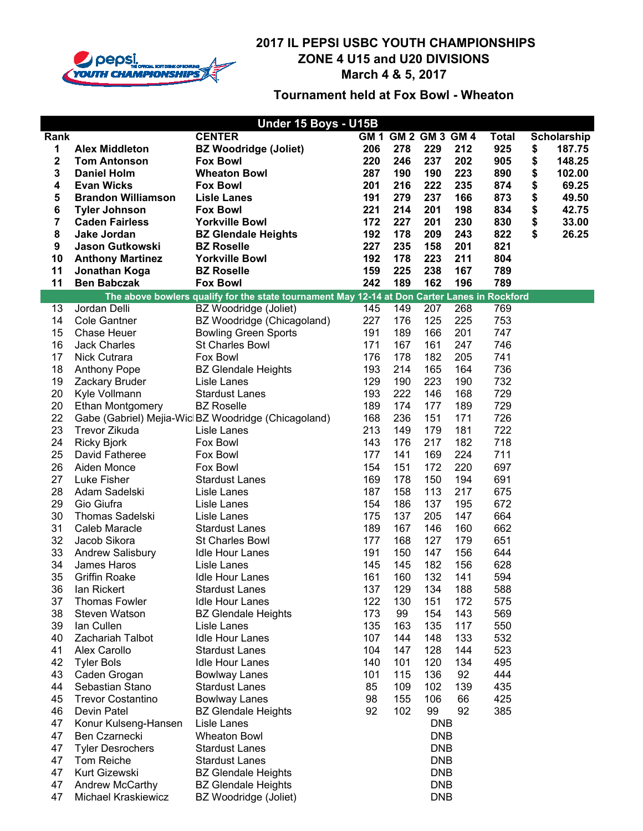

|                         | Under 15 Boys - U15B          |                                                                                              |            |                     |            |            |              |    |             |  |
|-------------------------|-------------------------------|----------------------------------------------------------------------------------------------|------------|---------------------|------------|------------|--------------|----|-------------|--|
| Rank                    |                               | <b>CENTER</b>                                                                                |            | GM 1 GM 2 GM 3 GM 4 |            |            | <b>Total</b> |    | Scholarship |  |
| 1                       | <b>Alex Middleton</b>         | <b>BZ Woodridge (Joliet)</b>                                                                 | 206        | 278                 | 229        | 212        | 925          | \$ | 187.75      |  |
| $\overline{\mathbf{2}}$ | <b>Tom Antonson</b>           | <b>Fox Bowl</b>                                                                              | 220        | 246                 | 237        | 202        | 905          | \$ | 148.25      |  |
| 3                       | <b>Daniel Holm</b>            | <b>Wheaton Bowl</b>                                                                          | 287        | 190                 | 190        | 223        | 890          | \$ | 102.00      |  |
| 4                       | <b>Evan Wicks</b>             | <b>Fox Bowl</b>                                                                              | 201        | 216                 | 222        | 235        | 874          | \$ | 69.25       |  |
| 5                       | <b>Brandon Williamson</b>     | <b>Lisle Lanes</b>                                                                           | 191        | 279                 | 237        | 166        | 873          | \$ | 49.50       |  |
| 6                       | <b>Tyler Johnson</b>          | <b>Fox Bowl</b>                                                                              | 221        | 214                 | 201        | 198        | 834          | \$ | 42.75       |  |
| 7                       | <b>Caden Fairless</b>         | <b>Yorkville Bowl</b>                                                                        | 172        | 227                 | 201        | 230        | 830          | \$ | 33.00       |  |
| 8                       | Jake Jordan                   | <b>BZ Glendale Heights</b>                                                                   | 192        | 178                 | 209        | 243        | 822          | \$ | 26.25       |  |
| 9                       | <b>Jason Gutkowski</b>        | <b>BZ Roselle</b>                                                                            | 227        | 235                 | 158        | 201        | 821          |    |             |  |
| 10                      | <b>Anthony Martinez</b>       | <b>Yorkville Bowl</b>                                                                        | 192        | 178                 | 223        | 211        | 804          |    |             |  |
| 11                      | Jonathan Koga                 | <b>BZ Roselle</b>                                                                            | 159        | 225                 | 238        | 167        | 789          |    |             |  |
| 11                      | <b>Ben Babczak</b>            | <b>Fox Bowl</b>                                                                              | 242        | 189                 | 162        | 196        | 789          |    |             |  |
|                         |                               | The above bowlers qualify for the state tournament May 12-14 at Don Carter Lanes in Rockford |            |                     |            |            |              |    |             |  |
| 13                      | Jordan Delli                  | BZ Woodridge (Joliet)                                                                        | 145        | 149                 | 207        | 268        | 769          |    |             |  |
| 14                      | <b>Cole Gantner</b>           | BZ Woodridge (Chicagoland)                                                                   | 227        | 176                 | 125        | 225        | 753          |    |             |  |
| 15                      | <b>Chase Heuer</b>            | <b>Bowling Green Sports</b>                                                                  | 191        | 189                 | 166        | 201        | 747          |    |             |  |
| 16                      | <b>Jack Charles</b>           | <b>St Charles Bowl</b>                                                                       | 171        | 167                 | 161        | 247        | 746          |    |             |  |
| 17                      | Nick Cutrara                  | Fox Bowl                                                                                     | 176        | 178                 | 182        | 205        | 741          |    |             |  |
| 18                      | <b>Anthony Pope</b>           | <b>BZ Glendale Heights</b>                                                                   | 193        | 214                 | 165        | 164        | 736          |    |             |  |
| 19                      | Zackary Bruder                | Lisle Lanes                                                                                  | 129        | 190                 | 223        | 190        | 732          |    |             |  |
| 20                      | Kyle Vollmann                 | <b>Stardust Lanes</b>                                                                        | 193        | 222                 | 146        | 168        | 729          |    |             |  |
| 20                      | Ethan Montgomery              | <b>BZ Roselle</b>                                                                            | 189        | 174                 | 177        | 189        | 729          |    |             |  |
| 22                      |                               | Gabe (Gabriel) Mejia-Wic BZ Woodridge (Chicagoland)                                          | 168        | 236                 | 151        | 171        | 726          |    |             |  |
| 23                      | Trevor Zikuda                 | Lisle Lanes                                                                                  | 213        | 149                 | 179        | 181        | 722          |    |             |  |
| 24                      | <b>Ricky Bjork</b>            | Fox Bowl                                                                                     | 143        | 176                 | 217        | 182        | 718          |    |             |  |
| 25                      | David Fatheree                | Fox Bowl                                                                                     | 177        | 141                 | 169        | 224        | 711          |    |             |  |
| 26                      | Aiden Monce                   | Fox Bowl                                                                                     | 154        | 151                 | 172        | 220        | 697          |    |             |  |
| 27                      | Luke Fisher                   | <b>Stardust Lanes</b>                                                                        | 169        | 178                 | 150        | 194        | 691          |    |             |  |
| 28                      | Adam Sadelski                 | Lisle Lanes                                                                                  | 187        | 158                 | 113        | 217        | 675          |    |             |  |
| 29                      | Gio Giufra                    | Lisle Lanes                                                                                  | 154        | 186                 | 137        | 195        | 672          |    |             |  |
| 30                      | Thomas Sadelski               | Lisle Lanes                                                                                  | 175        | 137                 | 205        | 147        | 664          |    |             |  |
| 31<br>32                | Caleb Maracle<br>Jacob Sikora | <b>Stardust Lanes</b><br><b>St Charles Bowl</b>                                              | 189<br>177 | 167<br>168          | 146<br>127 | 160<br>179 | 662<br>651   |    |             |  |
| 33                      | Andrew Salisbury              | <b>Idle Hour Lanes</b>                                                                       | 191        | 150                 | 147        | 156        | 644          |    |             |  |
| 34                      | James Haros                   | Lisle Lanes                                                                                  | 145        | 145                 | 182        | 156        | 628          |    |             |  |
| 35                      | <b>Griffin Roake</b>          | <b>Idle Hour Lanes</b>                                                                       | 161        | 160                 | 132        | 141        | 594          |    |             |  |
| 36                      | lan Rickert                   | <b>Stardust Lanes</b>                                                                        | 137        | 129                 | 134        | 188        | 588          |    |             |  |
| 37                      | <b>Thomas Fowler</b>          | <b>Idle Hour Lanes</b>                                                                       | 122        | 130                 | 151        | 172        | 575          |    |             |  |
| 38                      | <b>Steven Watson</b>          | <b>BZ Glendale Heights</b>                                                                   | 173        | 99                  | 154        | 143        | 569          |    |             |  |
| 39                      | lan Cullen                    | Lisle Lanes                                                                                  | 135        | 163                 | 135        | 117        | 550          |    |             |  |
| 40                      | Zachariah Talbot              | <b>Idle Hour Lanes</b>                                                                       | 107        | 144                 | 148        | 133        | 532          |    |             |  |
| 41                      | Alex Carollo                  | <b>Stardust Lanes</b>                                                                        | 104        | 147                 | 128        | 144        | 523          |    |             |  |
| 42                      | <b>Tyler Bols</b>             | <b>Idle Hour Lanes</b>                                                                       | 140        | 101                 | 120        | 134        | 495          |    |             |  |
| 43                      | Caden Grogan                  | <b>Bowlway Lanes</b>                                                                         | 101        | 115                 | 136        | 92         | 444          |    |             |  |
| 44                      | Sebastian Stano               | <b>Stardust Lanes</b>                                                                        | 85         | 109                 | 102        | 139        | 435          |    |             |  |
| 45                      | <b>Trevor Costantino</b>      | <b>Bowlway Lanes</b>                                                                         | 98         | 155                 | 106        | 66         | 425          |    |             |  |
| 46                      | Devin Patel                   | <b>BZ Glendale Heights</b>                                                                   | 92         | 102                 | 99         | 92         | 385          |    |             |  |
| 47                      | Konur Kulseng-Hansen          | Lisle Lanes                                                                                  |            |                     | <b>DNB</b> |            |              |    |             |  |
| 47                      | Ben Czarnecki                 | <b>Wheaton Bowl</b>                                                                          |            |                     | <b>DNB</b> |            |              |    |             |  |
| 47                      | <b>Tyler Desrochers</b>       | <b>Stardust Lanes</b>                                                                        |            |                     | <b>DNB</b> |            |              |    |             |  |
| 47                      | Tom Reiche                    | <b>Stardust Lanes</b>                                                                        |            |                     | <b>DNB</b> |            |              |    |             |  |
| 47                      | Kurt Gizewski                 | <b>BZ Glendale Heights</b>                                                                   |            |                     | <b>DNB</b> |            |              |    |             |  |
| 47                      | Andrew McCarthy               | <b>BZ Glendale Heights</b>                                                                   |            |                     | <b>DNB</b> |            |              |    |             |  |
| 47                      | Michael Kraskiewicz           | BZ Woodridge (Joliet)                                                                        |            |                     | <b>DNB</b> |            |              |    |             |  |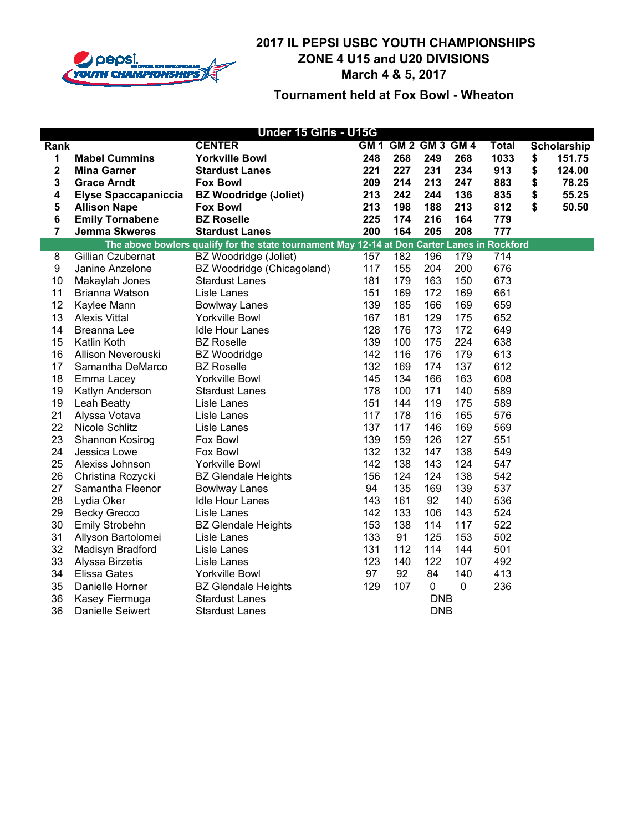

|                | Under 15 Girls - U15G       |                                                                                              |     |                     |            |             |              |    |             |
|----------------|-----------------------------|----------------------------------------------------------------------------------------------|-----|---------------------|------------|-------------|--------------|----|-------------|
| Rank           |                             | <b>CENTER</b>                                                                                |     | GM 1 GM 2 GM 3 GM 4 |            |             | <b>Total</b> |    | Scholarship |
| 1              | <b>Mabel Cummins</b>        | <b>Yorkville Bowl</b>                                                                        | 248 | 268                 | 249        | 268         | 1033         | \$ | 151.75      |
| 2              | <b>Mina Garner</b>          | <b>Stardust Lanes</b>                                                                        | 221 | 227                 | 231        | 234         | 913          | \$ | 124.00      |
| 3              | <b>Grace Arndt</b>          | <b>Fox Bowl</b>                                                                              | 209 | 214                 | 213        | 247         | 883          | \$ | 78.25       |
| 4              | <b>Elyse Spaccapaniccia</b> | <b>BZ Woodridge (Joliet)</b>                                                                 | 213 | 242                 | 244        | 136         | 835          | \$ | 55.25       |
| 5              | <b>Allison Nape</b>         | <b>Fox Bowl</b>                                                                              | 213 | 198                 | 188        | 213         | 812          | \$ | 50.50       |
| 6              | <b>Emily Tornabene</b>      | <b>BZ Roselle</b>                                                                            | 225 | 174                 | 216        | 164         | 779          |    |             |
| $\overline{7}$ | <b>Jemma Skweres</b>        | <b>Stardust Lanes</b>                                                                        | 200 | 164                 | 205        | 208         | 777          |    |             |
|                |                             | The above bowlers qualify for the state tournament May 12-14 at Don Carter Lanes in Rockford |     |                     |            |             |              |    |             |
| 8              | Gillian Czubernat           | BZ Woodridge (Joliet)                                                                        | 157 | 182                 | 196        | 179         | 714          |    |             |
| 9              | Janine Anzelone             | BZ Woodridge (Chicagoland)                                                                   | 117 | 155                 | 204        | 200         | 676          |    |             |
| 10             | Makaylah Jones              | <b>Stardust Lanes</b>                                                                        | 181 | 179                 | 163        | 150         | 673          |    |             |
| 11             | Brianna Watson              | Lisle Lanes                                                                                  | 151 | 169                 | 172        | 169         | 661          |    |             |
| 12             | Kaylee Mann                 | <b>Bowlway Lanes</b>                                                                         | 139 | 185                 | 166        | 169         | 659          |    |             |
| 13             | <b>Alexis Vittal</b>        | <b>Yorkville Bowl</b>                                                                        | 167 | 181                 | 129        | 175         | 652          |    |             |
| 14             | Breanna Lee                 | <b>Idle Hour Lanes</b>                                                                       | 128 | 176                 | 173        | 172         | 649          |    |             |
| 15             | Katlin Koth                 | <b>BZ Roselle</b>                                                                            | 139 | 100                 | 175        | 224         | 638          |    |             |
| 16             | Allison Neverouski          | <b>BZ</b> Woodridge                                                                          | 142 | 116                 | 176        | 179         | 613          |    |             |
| 17             | Samantha DeMarco            | <b>BZ Roselle</b>                                                                            | 132 | 169                 | 174        | 137         | 612          |    |             |
| 18             | Emma Lacey                  | <b>Yorkville Bowl</b>                                                                        | 145 | 134                 | 166        | 163         | 608          |    |             |
| 19             | Katlyn Anderson             | <b>Stardust Lanes</b>                                                                        | 178 | 100                 | 171        | 140         | 589          |    |             |
| 19             | Leah Beatty                 | Lisle Lanes                                                                                  | 151 | 144                 | 119        | 175         | 589          |    |             |
| 21             | Alyssa Votava               | Lisle Lanes                                                                                  | 117 | 178                 | 116        | 165         | 576          |    |             |
| 22             | Nicole Schlitz              | Lisle Lanes                                                                                  | 137 | 117                 | 146        | 169         | 569          |    |             |
| 23             | Shannon Kosirog             | Fox Bowl                                                                                     | 139 | 159                 | 126        | 127         | 551          |    |             |
| 24             | Jessica Lowe                | Fox Bowl                                                                                     | 132 | 132                 | 147        | 138         | 549          |    |             |
| 25             | Alexiss Johnson             | <b>Yorkville Bowl</b>                                                                        | 142 | 138                 | 143        | 124         | 547          |    |             |
| 26             | Christina Rozycki           | <b>BZ Glendale Heights</b>                                                                   | 156 | 124                 | 124        | 138         | 542          |    |             |
| 27             | Samantha Fleenor            | <b>Bowlway Lanes</b>                                                                         | 94  | 135                 | 169        | 139         | 537          |    |             |
| 28             | Lydia Oker                  | <b>Idle Hour Lanes</b>                                                                       | 143 | 161                 | 92         | 140         | 536          |    |             |
| 29             | <b>Becky Grecco</b>         | Lisle Lanes                                                                                  | 142 | 133                 | 106        | 143         | 524          |    |             |
| 30             | Emily Strobehn              | <b>BZ Glendale Heights</b>                                                                   | 153 | 138                 | 114        | 117         | 522          |    |             |
| 31             | Allyson Bartolomei          | Lisle Lanes                                                                                  | 133 | 91                  | 125        | 153         | 502          |    |             |
| 32             | Madisyn Bradford            | Lisle Lanes                                                                                  | 131 | 112                 | 114        | 144         | 501          |    |             |
| 33             | Alyssa Birzetis             | Lisle Lanes                                                                                  | 123 | 140                 | 122        | 107         | 492          |    |             |
| 34             | <b>Elissa Gates</b>         | <b>Yorkville Bowl</b>                                                                        | 97  | 92                  | 84         | 140         | 413          |    |             |
| 35             | Danielle Horner             | <b>BZ Glendale Heights</b>                                                                   | 129 | 107                 | 0          | $\mathbf 0$ | 236          |    |             |
| 36             | Kasey Fiermuga              | <b>Stardust Lanes</b>                                                                        |     |                     | <b>DNB</b> |             |              |    |             |
| 36             | Danielle Seiwert            | <b>Stardust Lanes</b>                                                                        |     |                     | <b>DNB</b> |             |              |    |             |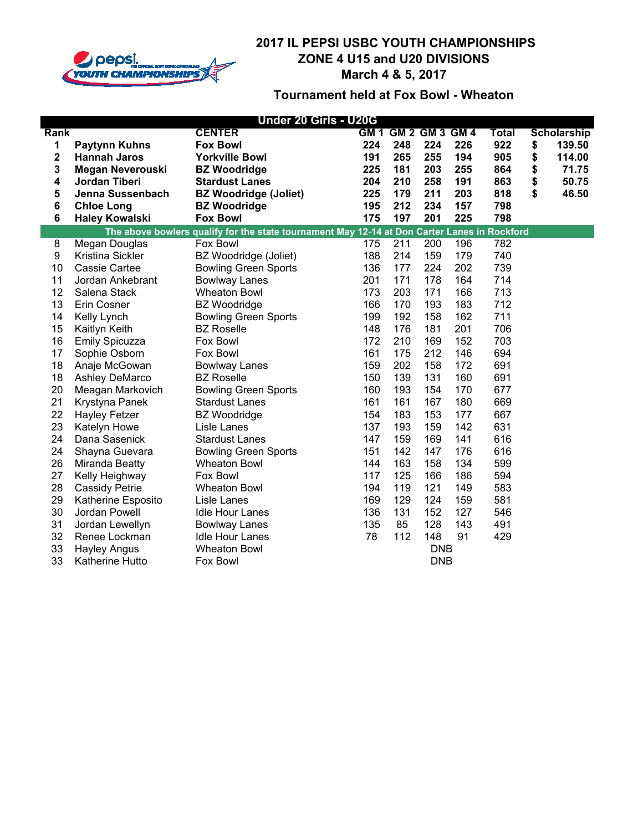

| Under 20 Girls - U20G   |                         |                                                                                              |     |                     |            |     |              |    |                    |
|-------------------------|-------------------------|----------------------------------------------------------------------------------------------|-----|---------------------|------------|-----|--------------|----|--------------------|
| Rank                    |                         | <b>CENTER</b>                                                                                |     | GM 1 GM 2 GM 3 GM 4 |            |     | <b>Total</b> |    | <b>Scholarship</b> |
| 1                       | <b>Paytynn Kuhns</b>    | <b>Fox Bowl</b>                                                                              | 224 | 248                 | 224        | 226 | 922          | \$ | 139.50             |
| $\overline{\mathbf{2}}$ | <b>Hannah Jaros</b>     | <b>Yorkville Bowl</b>                                                                        | 191 | 265                 | 255        | 194 | 905          | \$ | 114.00             |
| 3                       | <b>Megan Neverouski</b> | <b>BZ Woodridge</b>                                                                          | 225 | 181                 | 203        | 255 | 864          | \$ | 71.75              |
| 4                       | Jordan Tiberi           | <b>Stardust Lanes</b>                                                                        | 204 | 210                 | 258        | 191 | 863          | \$ | 50.75              |
| 5                       | Jenna Sussenbach        | <b>BZ Woodridge (Joliet)</b>                                                                 | 225 | 179                 | 211        | 203 | 818          | \$ | 46.50              |
| 6                       | <b>Chloe Long</b>       | <b>BZ Woodridge</b>                                                                          | 195 | 212                 | 234        | 157 | 798          |    |                    |
| 6                       | <b>Haley Kowalski</b>   | <b>Fox Bowl</b>                                                                              | 175 | 197                 | 201        | 225 | 798          |    |                    |
|                         |                         | The above bowlers qualify for the state tournament May 12-14 at Don Carter Lanes in Rockford |     |                     |            |     |              |    |                    |
| $\overline{8}$          | Megan Douglas           | Fox Bowl                                                                                     | 175 | 211                 | 200        | 196 | 782          |    |                    |
| 9                       | Kristina Sickler        | BZ Woodridge (Joliet)                                                                        | 188 | 214                 | 159        | 179 | 740          |    |                    |
| 10                      | Cassie Cartee           | <b>Bowling Green Sports</b>                                                                  | 136 | 177                 | 224        | 202 | 739          |    |                    |
| 11                      | Jordan Ankebrant        | <b>Bowlway Lanes</b>                                                                         | 201 | 171                 | 178        | 164 | 714          |    |                    |
| 12                      | Salena Stack            | <b>Wheaton Bowl</b>                                                                          | 173 | 203                 | 171        | 166 | 713          |    |                    |
| 13                      | Erin Cosner             | <b>BZ</b> Woodridge                                                                          | 166 | 170                 | 193        | 183 | 712          |    |                    |
| 14                      | Kelly Lynch             | <b>Bowling Green Sports</b>                                                                  | 199 | 192                 | 158        | 162 | 711          |    |                    |
| 15                      | Kaitlyn Keith           | <b>BZ</b> Roselle                                                                            | 148 | 176                 | 181        | 201 | 706          |    |                    |
| 16                      | <b>Emily Spicuzza</b>   | Fox Bowl                                                                                     | 172 | 210                 | 169        | 152 | 703          |    |                    |
| 17                      | Sophie Osborn           | Fox Bowl                                                                                     | 161 | 175                 | 212        | 146 | 694          |    |                    |
| 18                      | Anaje McGowan           | <b>Bowlway Lanes</b>                                                                         | 159 | 202                 | 158        | 172 | 691          |    |                    |
| 18                      | Ashley DeMarco          | <b>BZ Roselle</b>                                                                            | 150 | 139                 | 131        | 160 | 691          |    |                    |
| 20                      | Meagan Markovich        | <b>Bowling Green Sports</b>                                                                  | 160 | 193                 | 154        | 170 | 677          |    |                    |
| 21                      | Krystyna Panek          | <b>Stardust Lanes</b>                                                                        | 161 | 161                 | 167        | 180 | 669          |    |                    |
| 22                      | <b>Hayley Fetzer</b>    | <b>BZ</b> Woodridge                                                                          | 154 | 183                 | 153        | 177 | 667          |    |                    |
| 23                      | Katelyn Howe            | Lisle Lanes                                                                                  | 137 | 193                 | 159        | 142 | 631          |    |                    |
| 24                      | Dana Sasenick           | <b>Stardust Lanes</b>                                                                        | 147 | 159                 | 169        | 141 | 616          |    |                    |
| 24                      | Shayna Guevara          | <b>Bowling Green Sports</b>                                                                  | 151 | 142                 | 147        | 176 | 616          |    |                    |
| 26                      | Miranda Beatty          | <b>Wheaton Bowl</b>                                                                          | 144 | 163                 | 158        | 134 | 599          |    |                    |
| 27                      | Kelly Heighway          | Fox Bowl                                                                                     | 117 | 125                 | 166        | 186 | 594          |    |                    |
| 28                      | <b>Cassidy Petrie</b>   | <b>Wheaton Bowl</b>                                                                          | 194 | 119                 | 121        | 149 | 583          |    |                    |
| 29                      | Katherine Esposito      | Lisle Lanes                                                                                  | 169 | 129                 | 124        | 159 | 581          |    |                    |
| 30                      | Jordan Powell           | <b>Idle Hour Lanes</b>                                                                       | 136 | 131                 | 152        | 127 | 546          |    |                    |
| 31                      | Jordan Lewellyn         | <b>Bowlway Lanes</b>                                                                         | 135 | 85                  | 128        | 143 | 491          |    |                    |
| 32                      | Renee Lockman           | <b>Idle Hour Lanes</b>                                                                       | 78  | 112                 | 148        | 91  | 429          |    |                    |
| 33                      | <b>Hayley Angus</b>     | <b>Wheaton Bowl</b>                                                                          |     |                     | <b>DNB</b> |     |              |    |                    |
| 33                      | Katherine Hutto         | Fox Bowl                                                                                     |     |                     | <b>DNB</b> |     |              |    |                    |